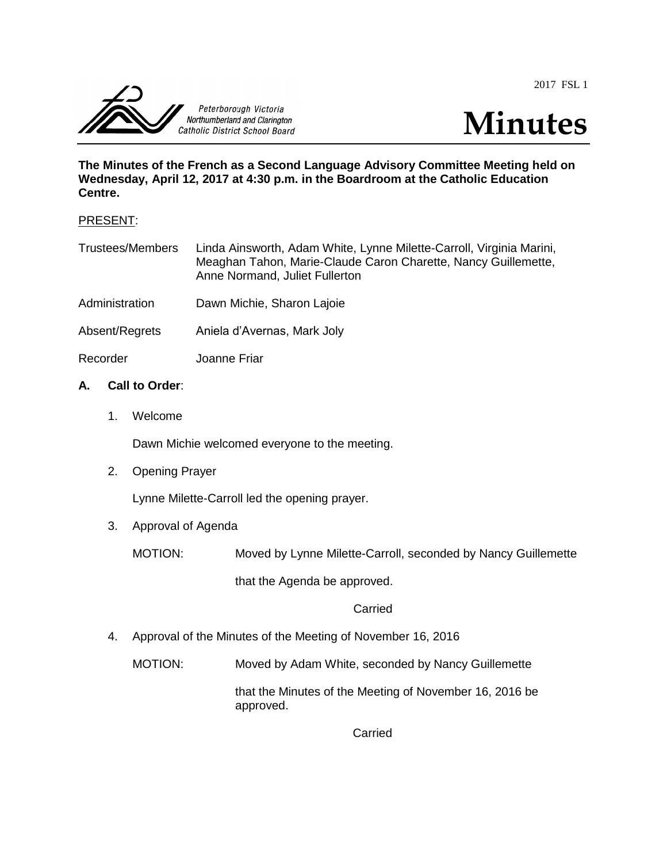2017 FSL 1





**The Minutes of the French as a Second Language Advisory Committee Meeting held on Wednesday, April 12, 2017 at 4:30 p.m. in the Boardroom at the Catholic Education Centre.**

### PRESENT:

| Linda Ainsworth, Adam White, Lynne Milette-Carroll, Virginia Marini, |
|----------------------------------------------------------------------|
| Meaghan Tahon, Marie-Claude Caron Charette, Nancy Guillemette,       |
| Anne Normand, Juliet Fullerton                                       |
|                                                                      |

- Administration Dawn Michie, Sharon Lajoie
- Absent/Regrets Aniela d'Avernas, Mark Joly

Recorder Joanne Friar

### **A. Call to Order**:

1. Welcome

Dawn Michie welcomed everyone to the meeting.

2. Opening Prayer

Lynne Milette-Carroll led the opening prayer.

3. Approval of Agenda

MOTION: Moved by Lynne Milette-Carroll, seconded by Nancy Guillemette

that the Agenda be approved.

## Carried

4. Approval of the Minutes of the Meeting of November 16, 2016

MOTION: Moved by Adam White, seconded by Nancy Guillemette

that the Minutes of the Meeting of November 16, 2016 be approved.

Carried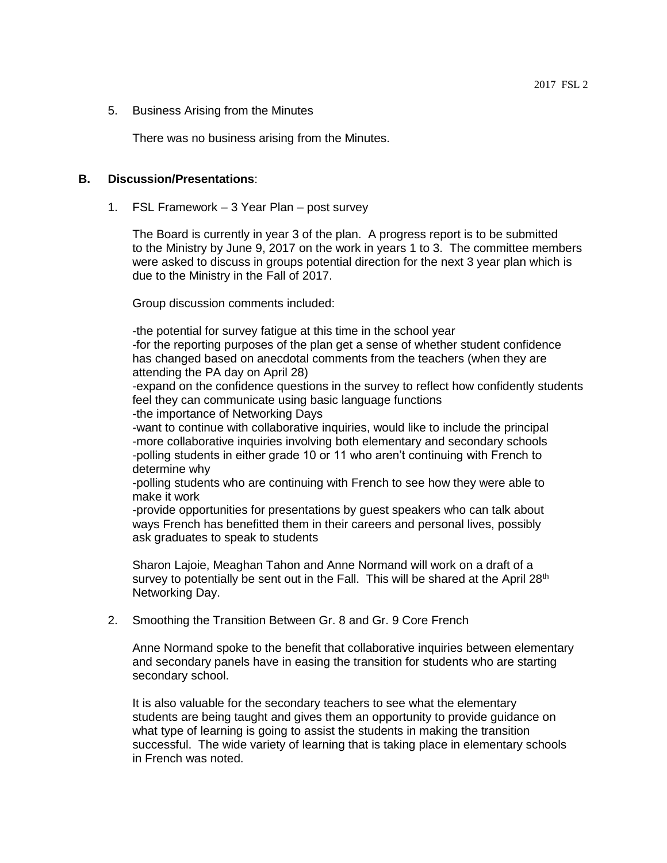There was no business arising from the Minutes.

# **B. Discussion/Presentations**:

1. FSL Framework – 3 Year Plan – post survey

The Board is currently in year 3 of the plan. A progress report is to be submitted to the Ministry by June 9, 2017 on the work in years 1 to 3. The committee members were asked to discuss in groups potential direction for the next 3 year plan which is due to the Ministry in the Fall of 2017.

Group discussion comments included:

-the potential for survey fatigue at this time in the school year -for the reporting purposes of the plan get a sense of whether student confidence has changed based on anecdotal comments from the teachers (when they are attending the PA day on April 28)

-expand on the confidence questions in the survey to reflect how confidently students feel they can communicate using basic language functions

-the importance of Networking Days

-want to continue with collaborative inquiries, would like to include the principal -more collaborative inquiries involving both elementary and secondary schools -polling students in either grade 10 or 11 who aren't continuing with French to determine why

-polling students who are continuing with French to see how they were able to make it work

-provide opportunities for presentations by guest speakers who can talk about ways French has benefitted them in their careers and personal lives, possibly ask graduates to speak to students

Sharon Lajoie, Meaghan Tahon and Anne Normand will work on a draft of a survey to potentially be sent out in the Fall. This will be shared at the April  $28<sup>th</sup>$ Networking Day.

2. Smoothing the Transition Between Gr. 8 and Gr. 9 Core French

Anne Normand spoke to the benefit that collaborative inquiries between elementary and secondary panels have in easing the transition for students who are starting secondary school.

It is also valuable for the secondary teachers to see what the elementary students are being taught and gives them an opportunity to provide guidance on what type of learning is going to assist the students in making the transition successful. The wide variety of learning that is taking place in elementary schools in French was noted.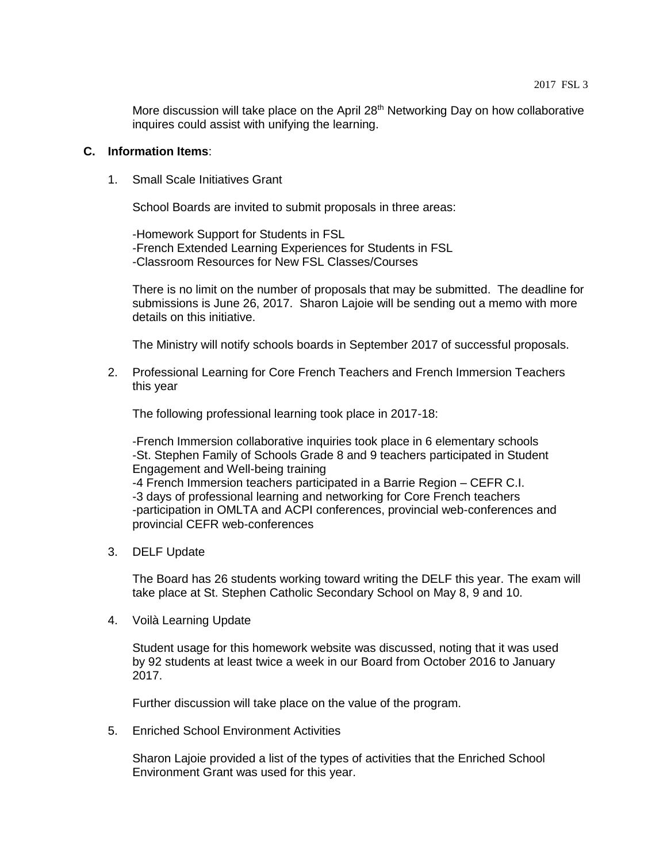More discussion will take place on the April  $28<sup>th</sup>$  Networking Day on how collaborative inquires could assist with unifying the learning.

### **C. Information Items**:

1. Small Scale Initiatives Grant

School Boards are invited to submit proposals in three areas:

-Homework Support for Students in FSL -French Extended Learning Experiences for Students in FSL -Classroom Resources for New FSL Classes/Courses

There is no limit on the number of proposals that may be submitted. The deadline for submissions is June 26, 2017. Sharon Lajoie will be sending out a memo with more details on this initiative.

The Ministry will notify schools boards in September 2017 of successful proposals.

2. Professional Learning for Core French Teachers and French Immersion Teachers this year

The following professional learning took place in 2017-18:

-French Immersion collaborative inquiries took place in 6 elementary schools -St. Stephen Family of Schools Grade 8 and 9 teachers participated in Student Engagement and Well-being training -4 French Immersion teachers participated in a Barrie Region – CEFR C.I. -3 days of professional learning and networking for Core French teachers -participation in OMLTA and ACPI conferences, provincial web-conferences and provincial CEFR web-conferences

3. DELF Update

The Board has 26 students working toward writing the DELF this year. The exam will take place at St. Stephen Catholic Secondary School on May 8, 9 and 10.

4. Voilà Learning Update

Student usage for this homework website was discussed, noting that it was used by 92 students at least twice a week in our Board from October 2016 to January 2017.

Further discussion will take place on the value of the program.

5. Enriched School Environment Activities

Sharon Lajoie provided a list of the types of activities that the Enriched School Environment Grant was used for this year.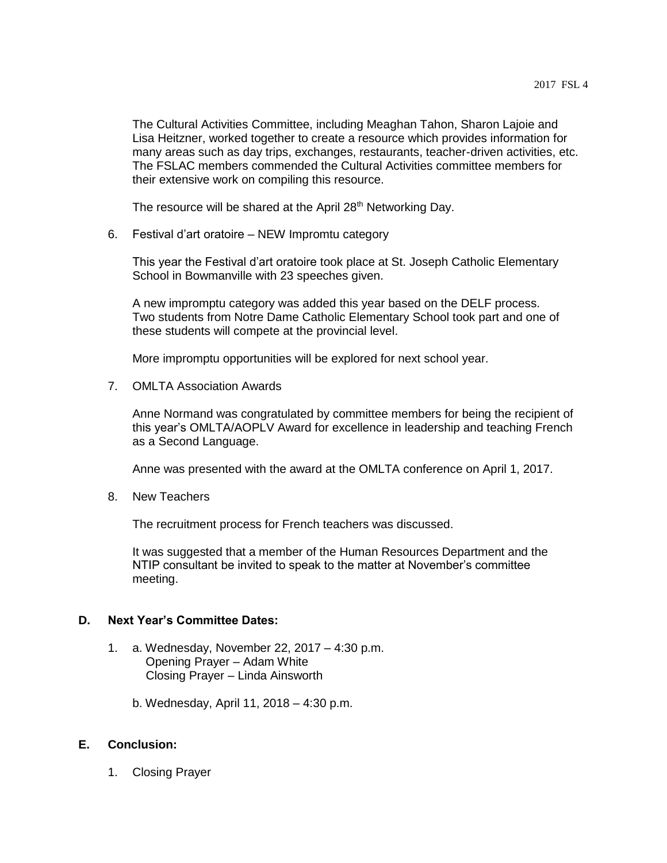The Cultural Activities Committee, including Meaghan Tahon, Sharon Lajoie and Lisa Heitzner, worked together to create a resource which provides information for many areas such as day trips, exchanges, restaurants, teacher-driven activities, etc. The FSLAC members commended the Cultural Activities committee members for their extensive work on compiling this resource.

The resource will be shared at the April 28<sup>th</sup> Networking Day.

6. Festival d'art oratoire – NEW Impromtu category

This year the Festival d'art oratoire took place at St. Joseph Catholic Elementary School in Bowmanville with 23 speeches given.

A new impromptu category was added this year based on the DELF process. Two students from Notre Dame Catholic Elementary School took part and one of these students will compete at the provincial level.

More impromptu opportunities will be explored for next school year.

7. OMLTA Association Awards

Anne Normand was congratulated by committee members for being the recipient of this year's OMLTA/AOPLV Award for excellence in leadership and teaching French as a Second Language.

Anne was presented with the award at the OMLTA conference on April 1, 2017.

8. New Teachers

The recruitment process for French teachers was discussed.

It was suggested that a member of the Human Resources Department and the NTIP consultant be invited to speak to the matter at November's committee meeting.

## **D. Next Year's Committee Dates:**

- 1. a. Wednesday, November 22, 2017 4:30 p.m. Opening Prayer – Adam White Closing Prayer – Linda Ainsworth
	- b. Wednesday, April 11, 2018 4:30 p.m.

# **E. Conclusion:**

1. Closing Prayer